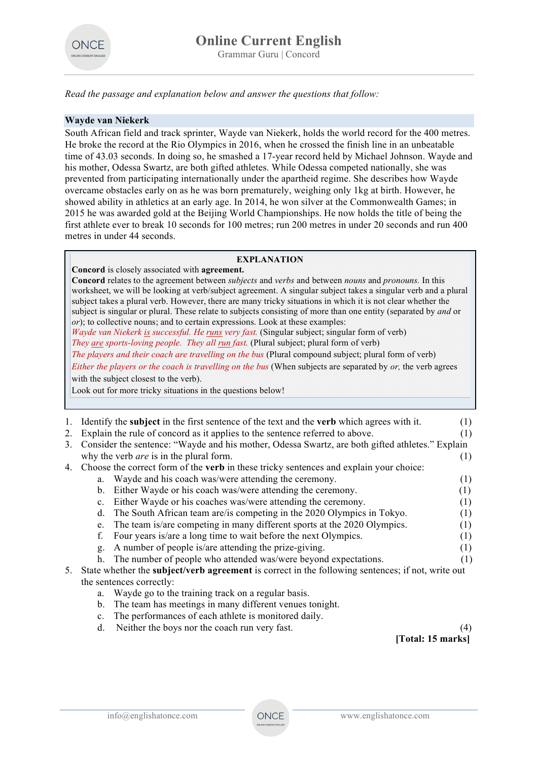

*Read the passage and explanation below and answer the questions that follow:*

## **Wayde van Niekerk**

South African field and track sprinter, Wayde van Niekerk, holds the world record for the 400 metres. He broke the record at the Rio Olympics in 2016, when he crossed the finish line in an unbeatable time of 43.03 seconds. In doing so, he smashed a 17-year record held by Michael Johnson. Wayde and his mother, Odessa Swartz, are both gifted athletes. While Odessa competed nationally, she was prevented from participating internationally under the apartheid regime. She describes how Wayde overcame obstacles early on as he was born prematurely, weighing only 1kg at birth. However, he showed ability in athletics at an early age. In 2014, he won silver at the Commonwealth Games; in 2015 he was awarded gold at the Beijing World Championships. He now holds the title of being the first athlete ever to break 10 seconds for 100 metres; run 200 metres in under 20 seconds and run 400 metres in under 44 seconds.

#### **EXPLANATION**

**Concord** is closely associated with **agreement.** 

**Concord** relates to the agreement between *subjects* and *verbs* and between *nouns* and *pronouns.* In this worksheet, we will be looking at verb/subject agreement. A singular subject takes a singular verb and a plural subject takes a plural verb. However, there are many tricky situations in which it is not clear whether the subject is singular or plural. These relate to subjects consisting of more than one entity (separated by *and* or *or*); to collective nouns; and to certain expressions. Look at these examples: *Wayde van Niekerk is successful. He runs very fast.* (Singular subject; singular form of verb) *They are sports-loving people. They all run fast.* (Plural subject; plural form of verb) *The players and their coach are travelling on the bus* (Plural compound subject; plural form of verb) *Either the players or the coach is travelling on the bus* (When subjects are separated by *or,* the verb agrees with the subject closest to the verb). Look out for more tricky situations in the questions below!

|    |                                                                                                          | Identify the <b>subject</b> in the first sentence of the text and the <b>verb</b> which agrees with it. | (1) |  |
|----|----------------------------------------------------------------------------------------------------------|---------------------------------------------------------------------------------------------------------|-----|--|
|    |                                                                                                          |                                                                                                         |     |  |
| 2. |                                                                                                          | Explain the rule of concord as it applies to the sentence referred to above.                            | (1) |  |
| 3. | Consider the sentence: "Wayde and his mother, Odessa Swartz, are both gifted athletes." Explain          |                                                                                                         |     |  |
|    |                                                                                                          | why the verb <i>are</i> is in the plural form.                                                          | (1) |  |
| 4. | Choose the correct form of the <b>verb</b> in these tricky sentences and explain your choice:            |                                                                                                         |     |  |
|    | a.                                                                                                       | Wayde and his coach was/were attending the ceremony.                                                    | (1) |  |
|    | $\mathbf{b}$ .                                                                                           | Either Wayde or his coach was/were attending the ceremony.                                              | (1) |  |
|    | $\mathbf{c}$ .                                                                                           | Either Wayde or his coaches was/were attending the ceremony.                                            | (1) |  |
|    | d.                                                                                                       | The South African team are/is competing in the 2020 Olympics in Tokyo.                                  | (1) |  |
|    | e.                                                                                                       | The team is/are competing in many different sports at the 2020 Olympics.                                | (1) |  |
|    | f.                                                                                                       | Four years is/are a long time to wait before the next Olympics.                                         | (1) |  |
|    | g.                                                                                                       | A number of people is/are attending the prize-giving.                                                   | (1) |  |
|    | h.                                                                                                       | The number of people who attended was/were beyond expectations.                                         | (1) |  |
| 5. | State whether the <b>subject/verb agreement</b> is correct in the following sentences; if not, write out |                                                                                                         |     |  |
|    | the sentences correctly:                                                                                 |                                                                                                         |     |  |
|    | a.                                                                                                       | Wayde go to the training track on a regular basis.                                                      |     |  |
|    | $b_{\cdot}$                                                                                              | The team has meetings in many different venues tonight.                                                 |     |  |
|    |                                                                                                          | The newformeonese of each other is menitored deily                                                      |     |  |

c. The performances of each athlete is monitored daily. d. Neither the boys nor the coach run very fast. (4)

**[Total: 15 marks]**